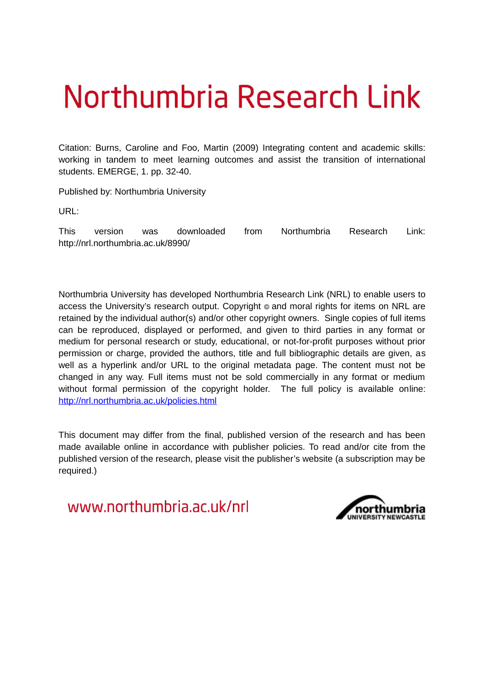# Northumbria Research Link

Citation: Burns, Caroline and Foo, Martin (2009) Integrating content and academic skills: working in tandem to meet learning outcomes and assist the transition of international students. EMERGE, 1. pp. 32-40.

Published by: Northumbria University

URL:

This version was downloaded from Northumbria Research Link: http://nrl.northumbria.ac.uk/8990/

Northumbria University has developed Northumbria Research Link (NRL) to enable users to access the University's research output. Copyright  $\circ$  and moral rights for items on NRL are retained by the individual author(s) and/or other copyright owners. Single copies of full items can be reproduced, displayed or performed, and given to third parties in any format or medium for personal research or study, educational, or not-for-profit purposes without prior permission or charge, provided the authors, title and full bibliographic details are given, as well as a hyperlink and/or URL to the original metadata page. The content must not be changed in any way. Full items must not be sold commercially in any format or medium without formal permission of the copyright holder. The full policy is available online: <http://nrl.northumbria.ac.uk/policies.html>

This document may differ from the final, published version of the research and has been made available online in accordance with publisher policies. To read and/or cite from the published version of the research, please visit the publisher's website (a subscription may be required.)

www.northumbria.ac.uk/nrl

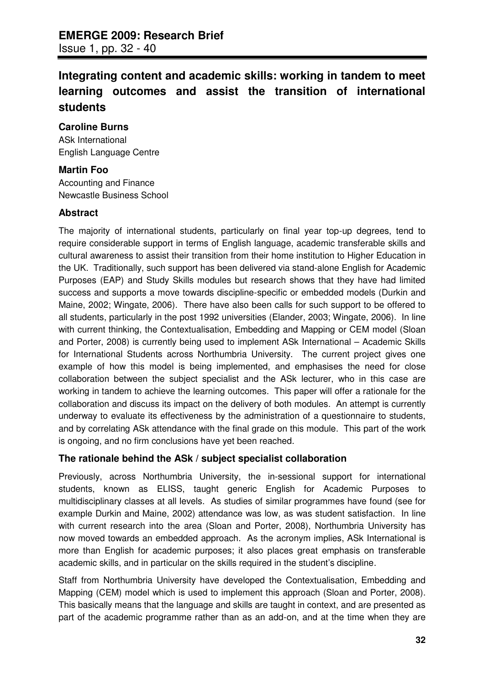# **Integrating content and academic skills: working in tandem to meet learning outcomes and assist the transition of international students**

### **Caroline Burns**

ASk International English Language Centre

### **Martin Foo**

Accounting and Finance Newcastle Business School

### **Abstract**

The majority of international students, particularly on final year top-up degrees, tend to require considerable support in terms of English language, academic transferable skills and cultural awareness to assist their transition from their home institution to Higher Education in the UK. Traditionally, such support has been delivered via stand-alone English for Academic Purposes (EAP) and Study Skills modules but research shows that they have had limited success and supports a move towards discipline-specific or embedded models (Durkin and Maine, 2002; Wingate, 2006). There have also been calls for such support to be offered to all students, particularly in the post 1992 universities (Elander, 2003; Wingate, 2006). In line with current thinking, the Contextualisation, Embedding and Mapping or CEM model (Sloan and Porter, 2008) is currently being used to implement ASk International – Academic Skills for International Students across Northumbria University. The current project gives one example of how this model is being implemented, and emphasises the need for close collaboration between the subject specialist and the ASk lecturer, who in this case are working in tandem to achieve the learning outcomes. This paper will offer a rationale for the collaboration and discuss its impact on the delivery of both modules. An attempt is currently underway to evaluate its effectiveness by the administration of a questionnaire to students, and by correlating ASk attendance with the final grade on this module. This part of the work is ongoing, and no firm conclusions have yet been reached.

### **The rationale behind the ASk / subject specialist collaboration**

Previously, across Northumbria University, the in-sessional support for international students, known as ELISS, taught generic English for Academic Purposes to multidisciplinary classes at all levels. As studies of similar programmes have found (see for example Durkin and Maine, 2002) attendance was low, as was student satisfaction. In line with current research into the area (Sloan and Porter, 2008), Northumbria University has now moved towards an embedded approach. As the acronym implies, ASk International is more than English for academic purposes; it also places great emphasis on transferable academic skills, and in particular on the skills required in the student's discipline.

Staff from Northumbria University have developed the Contextualisation, Embedding and Mapping (CEM) model which is used to implement this approach (Sloan and Porter, 2008). This basically means that the language and skills are taught in context, and are presented as part of the academic programme rather than as an add-on, and at the time when they are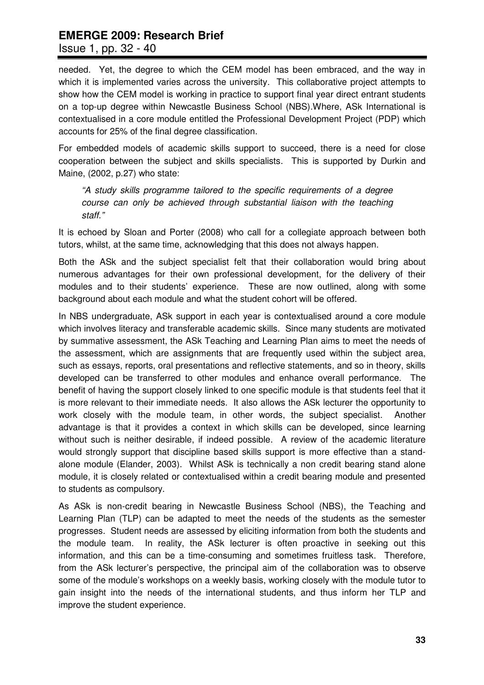Issue 1, pp. 32 - 40

needed. Yet, the degree to which the CEM model has been embraced, and the way in which it is implemented varies across the university. This collaborative project attempts to show how the CEM model is working in practice to support final year direct entrant students on a top-up degree within Newcastle Business School (NBS).Where, ASk International is contextualised in a core module entitled the Professional Development Project (PDP) which accounts for 25% of the final degree classification.

For embedded models of academic skills support to succeed, there is a need for close cooperation between the subject and skills specialists. This is supported by Durkin and Maine, (2002, p.27) who state:

*"A study skills programme tailored to the specific requirements of a degree course can only be achieved through substantial liaison with the teaching staff."*

It is echoed by Sloan and Porter (2008) who call for a collegiate approach between both tutors, whilst, at the same time, acknowledging that this does not always happen.

Both the ASk and the subject specialist felt that their collaboration would bring about numerous advantages for their own professional development, for the delivery of their modules and to their students' experience. These are now outlined, along with some background about each module and what the student cohort will be offered.

In NBS undergraduate, ASk support in each year is contextualised around a core module which involves literacy and transferable academic skills. Since many students are motivated by summative assessment, the ASk Teaching and Learning Plan aims to meet the needs of the assessment, which are assignments that are frequently used within the subject area, such as essays, reports, oral presentations and reflective statements, and so in theory, skills developed can be transferred to other modules and enhance overall performance. The benefit of having the support closely linked to one specific module is that students feel that it is more relevant to their immediate needs. It also allows the ASk lecturer the opportunity to work closely with the module team, in other words, the subject specialist. Another advantage is that it provides a context in which skills can be developed, since learning without such is neither desirable, if indeed possible. A review of the academic literature would strongly support that discipline based skills support is more effective than a standalone module (Elander, 2003). Whilst ASk is technically a non credit bearing stand alone module, it is closely related or contextualised within a credit bearing module and presented to students as compulsory.

As ASk is non-credit bearing in Newcastle Business School (NBS), the Teaching and Learning Plan (TLP) can be adapted to meet the needs of the students as the semester progresses. Student needs are assessed by eliciting information from both the students and the module team. In reality, the ASk lecturer is often proactive in seeking out this information, and this can be a time-consuming and sometimes fruitless task. Therefore, from the ASk lecturer's perspective, the principal aim of the collaboration was to observe some of the module's workshops on a weekly basis, working closely with the module tutor to gain insight into the needs of the international students, and thus inform her TLP and improve the student experience.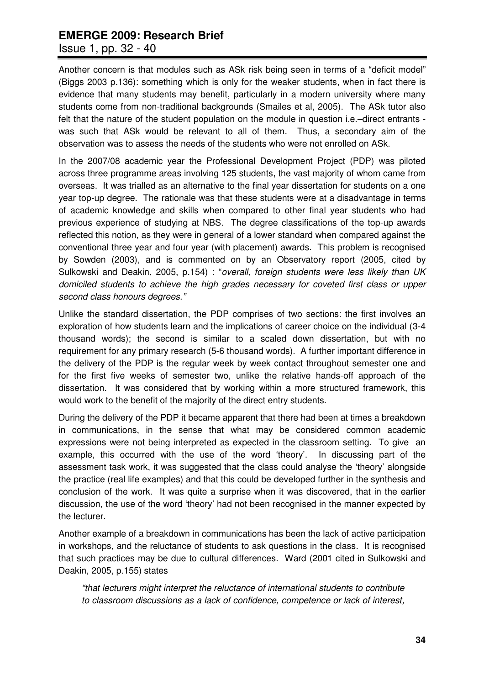Issue 1, pp. 32 - 40

Another concern is that modules such as ASk risk being seen in terms of a "deficit model" (Biggs 2003 p.136): something which is only for the weaker students, when in fact there is evidence that many students may benefit, particularly in a modern university where many students come from non-traditional backgrounds (Smailes et al, 2005). The ASk tutor also felt that the nature of the student population on the module in question i.e.–direct entrants was such that ASk would be relevant to all of them. Thus, a secondary aim of the observation was to assess the needs of the students who were not enrolled on ASk.

In the 2007/08 academic year the Professional Development Project (PDP) was piloted across three programme areas involving 125 students, the vast majority of whom came from overseas. It was trialled as an alternative to the final year dissertation for students on a one year top-up degree. The rationale was that these students were at a disadvantage in terms of academic knowledge and skills when compared to other final year students who had previous experience of studying at NBS. The degree classifications of the top-up awards reflected this notion, as they were in general of a lower standard when compared against the conventional three year and four year (with placement) awards. This problem is recognised by Sowden (2003), and is commented on by an Observatory report (2005, cited by Sulkowski and Deakin, 2005, p.154) : "*overall, foreign students were less likely than UK domiciled students to achieve the high grades necessary for coveted first class or upper second class honours degrees."*

Unlike the standard dissertation, the PDP comprises of two sections: the first involves an exploration of how students learn and the implications of career choice on the individual (3-4 thousand words); the second is similar to a scaled down dissertation, but with no requirement for any primary research (5-6 thousand words). A further important difference in the delivery of the PDP is the regular week by week contact throughout semester one and for the first five weeks of semester two, unlike the relative hands-off approach of the dissertation. It was considered that by working within a more structured framework, this would work to the benefit of the majority of the direct entry students.

During the delivery of the PDP it became apparent that there had been at times a breakdown in communications, in the sense that what may be considered common academic expressions were not being interpreted as expected in the classroom setting. To give an example, this occurred with the use of the word 'theory'. In discussing part of the assessment task work, it was suggested that the class could analyse the 'theory' alongside the practice (real life examples) and that this could be developed further in the synthesis and conclusion of the work. It was quite a surprise when it was discovered, that in the earlier discussion, the use of the word 'theory' had not been recognised in the manner expected by the lecturer.

Another example of a breakdown in communications has been the lack of active participation in workshops, and the reluctance of students to ask questions in the class. It is recognised that such practices may be due to cultural differences. Ward (2001 cited in Sulkowski and Deakin, 2005, p.155) states

*"that lecturers might interpret the reluctance of international students to contribute to classroom discussions as a lack of confidence, competence or lack of interest,*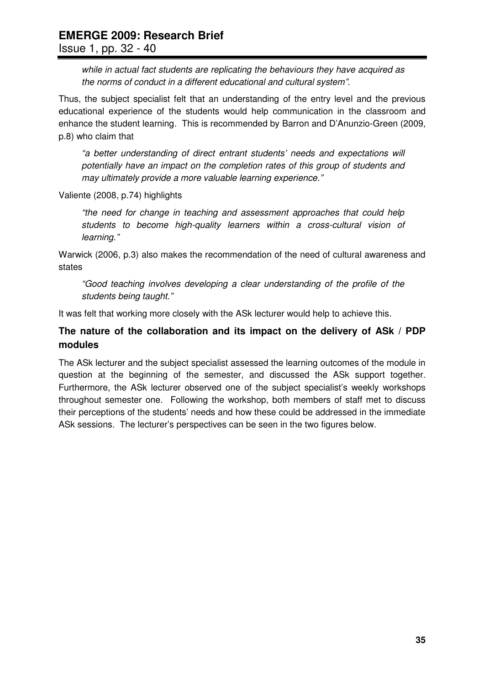*while in actual fact students are replicating the behaviours they have acquired as the norms of conduct in a different educational and cultural system".*

Thus, the subject specialist felt that an understanding of the entry level and the previous educational experience of the students would help communication in the classroom and enhance the student learning. This is recommended by Barron and D'Anunzio-Green (2009, p.8) who claim that

*"a better understanding of direct entrant students' needs and expectations will potentially have an impact on the completion rates of this group of students and may ultimately provide a more valuable learning experience."*

Valiente (2008, p.74) highlights

*"the need for change in teaching and assessment approaches that could help students to become high-quality learners within a cross-cultural vision of learning."*

Warwick (2006, p.3) also makes the recommendation of the need of cultural awareness and states

*"Good teaching involves developing a clear understanding of the profile of the students being taught."*

It was felt that working more closely with the ASk lecturer would help to achieve this.

### **The nature of the collaboration and its impact on the delivery of ASk / PDP modules**

The ASk lecturer and the subject specialist assessed the learning outcomes of the module in question at the beginning of the semester, and discussed the ASk support together. Furthermore, the ASk lecturer observed one of the subject specialist's weekly workshops throughout semester one. Following the workshop, both members of staff met to discuss their perceptions of the students' needs and how these could be addressed in the immediate ASk sessions. The lecturer's perspectives can be seen in the two figures below.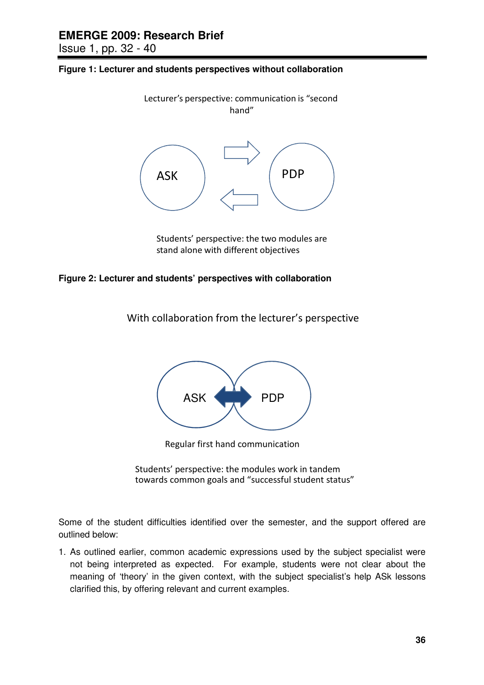Issue 1, pp. 32 - 40





Students' perspective: the two modules are stand alone with different objectives

#### **Figure 2: Lecturer and students' perspectives with collaboration**

With collaboration from the lecturer's perspective



Regular first hand communication

Students' perspective: the modules work in tandem towards common goals and "successful student status"

Some of the student difficulties identified over the semester, and the support offered are outlined below:

1. As outlined earlier, common academic expressions used by the subject specialist were not being interpreted as expected. For example, students were not clear about the meaning of 'theory' in the given context, with the subject specialist's help ASk lessons clarified this, by offering relevant and current examples.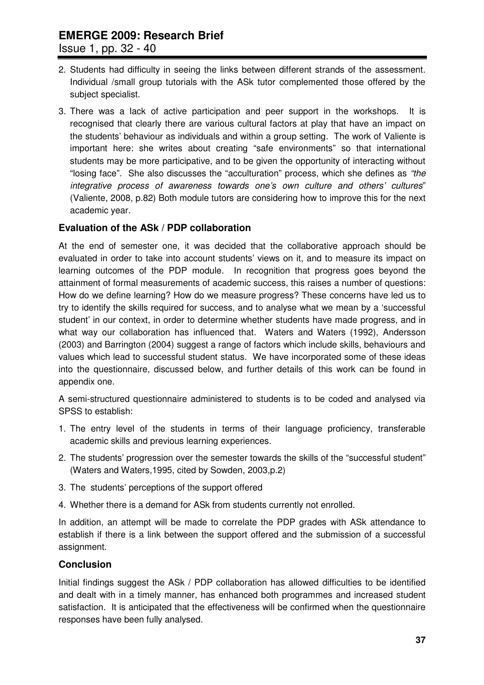Issue 1, pp. 32 - 40

- 2. Students had difficulty in seeing the links between different strands of the assessment. Individual /small group tutorials with the ASk tutor complemented those offered by the subject specialist.
- 3. There was a lack of active participation and peer support in the workshops. It is recognised that clearly there are various cultural factors at play that have an impact on the students' behaviour as individuals and within a group setting. The work of Valiente is important here: she writes about creating "safe environments" so that international students may be more participative, and to be given the opportunity of interacting without "losing face". She also discusses the "acculturation" process, which she defines as *"the integrative process of awareness towards one's own culture and others' cultures*" (Valiente, 2008, p.82) Both module tutors are considering how to improve this for the next academic year.

### **Evaluation of the ASk / PDP collaboration**

At the end of semester one, it was decided that the collaborative approach should be evaluated in order to take into account students' views on it, and to measure its impact on learning outcomes of the PDP module. In recognition that progress goes beyond the attainment of formal measurements of academic success, this raises a number of questions: How do we define learning? How do we measure progress? These concerns have led us to try to identify the skills required for success, and to analyse what we mean by a 'successful student' in our context, in order to determine whether students have made progress, and in what way our collaboration has influenced that. Waters and Waters (1992), Andersson (2003) and Barrington (2004) suggest a range of factors which include skills, behaviours and values which lead to successful student status. We have incorporated some of these ideas into the questionnaire, discussed below, and further details of this work can be found in appendix one.

A semi-structured questionnaire administered to students is to be coded and analysed via SPSS to establish:

- 1. The entry level of the students in terms of their language proficiency, transferable academic skills and previous learning experiences.
- 2. The students' progression over the semester towards the skills of the "successful student" (Waters and Waters,1995, cited by Sowden, 2003,p.2)
- 3. The students' perceptions of the support offered
- 4. Whether there is a demand for ASk from students currently not enrolled.

In addition, an attempt will be made to correlate the PDP grades with ASk attendance to establish if there is a link between the support offered and the submission of a successful assignment.

### **Conclusion**

Initial findings suggest the ASk / PDP collaboration has allowed difficulties to be identified and dealt with in a timely manner, has enhanced both programmes and increased student satisfaction. It is anticipated that the effectiveness will be confirmed when the questionnaire responses have been fully analysed.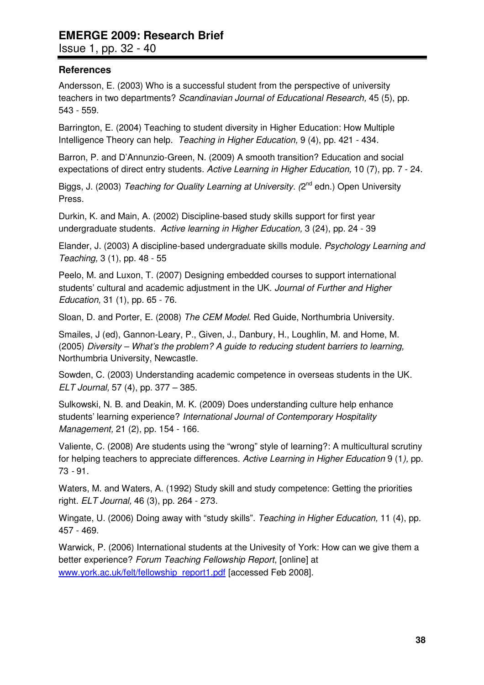Issue 1, pp. 32 - 40

### **References**

Andersson, E. (2003) Who is a successful student from the perspective of university teachers in two departments? *Scandinavian Journal of Educational Research,* 45 (5), pp. 543 - 559.

Barrington, E. (2004) Teaching to student diversity in Higher Education: How Multiple Intelligence Theory can help. *Teaching in Higher Education,* 9 (4), pp. 421 - 434.

Barron, P. and D'Annunzio-Green, N. (2009) A smooth transition? Education and social expectations of direct entry students. *Active Learning in Higher Education,* 10 (7), pp. 7 - 24.

Biggs, J. (2003) *Teaching for Quality Learning at University. (*2<sup>nd</sup> edn.) Open University Press.

Durkin, K. and Main, A. (2002) Discipline-based study skills support for first year undergraduate students. *Active learning in Higher Education,* 3 (24), pp. 24 - 39

Elander, J. (2003) A discipline-based undergraduate skills module. *Psychology Learning and Teaching,* 3 (1), pp. 48 - 55

Peelo, M. and Luxon, T. (2007) Designing embedded courses to support international students' cultural and academic adjustment in the UK. *Journal of Further and Higher Education,* 31 (1), pp. 65 - 76.

Sloan, D. and Porter, E. (2008) *The CEM Model*. Red Guide, Northumbria University.

Smailes, J (ed), Gannon-Leary, P., Given, J., Danbury, H., Loughlin, M. and Home, M. (2005) *Diversity – What's the problem? A guide to reducing student barriers to learning,* Northumbria University, Newcastle.

Sowden, C. (2003) Understanding academic competence in overseas students in the UK. *ELT Journal,* 57 (4), pp. 377 – 385.

Sulkowski, N. B. and Deakin, M. K. (2009) Does understanding culture help enhance students' learning experience? *International Journal of Contemporary Hospitality Management,* 21 (2), pp. 154 - 166.

Valiente, C. (2008) Are students using the "wrong" style of learning?: A multicultural scrutiny for helping teachers to appreciate differences. *Active Learning in Higher Education* 9 (1*),* pp. 73 *-* 91*.*

Waters, M. and Waters, A. (1992) Study skill and study competence: Getting the priorities right. *ELT Journal,* 46 (3), pp. 264 - 273.

Wingate, U. (2006) Doing away with "study skills". *Teaching in Higher Education,* 11 (4), pp. 457 - 469.

Warwick, P. (2006) International students at the Univesity of York: How can we give them a better experience? *Forum Teaching Fellowship Report*, [online] at [www.york.ac.uk/felt/fellowship\\_report1.pdf](http://www.york.ac.uk/felt/fellowship_report1.pdf) [accessed Feb 2008].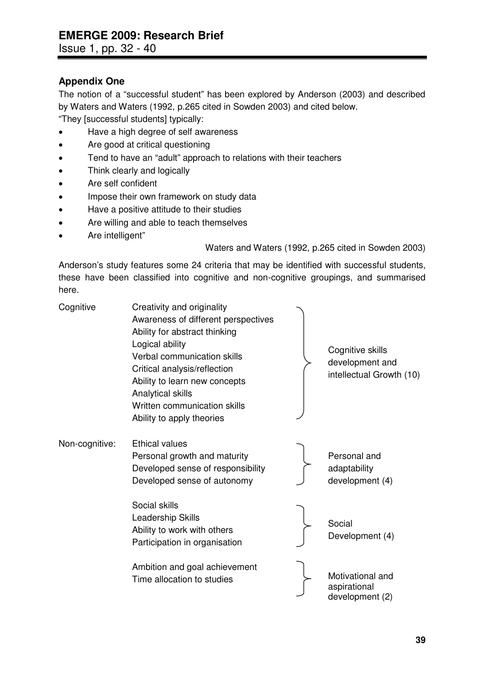### **Appendix One**

The notion of a "successful student" has been explored by Anderson (2003) and described by Waters and Waters (1992, p.265 cited in Sowden 2003) and cited below.

"They [successful students] typically:

- Have a high degree of self awareness
- Are good at critical questioning
- Tend to have an "adult" approach to relations with their teachers
- Think clearly and logically
- Are self confident
- Impose their own framework on study data
- Have a positive attitude to their studies
- Are willing and able to teach themselves
- Are intelligent"

Waters and Waters (1992, p.265 cited in Sowden 2003)

Anderson's study features some 24 criteria that may be identified with successful students, these have been classified into cognitive and non-cognitive groupings, and summarised here.

| Cognitive      | Creativity and originality<br>Awareness of different perspectives<br>Ability for abstract thinking<br>Logical ability<br>Verbal communication skills<br>Critical analysis/reflection<br>Ability to learn new concepts<br>Analytical skills<br>Written communication skills<br>Ability to apply theories | Cognitive skills<br>development and<br>intellectual Growth (10) |
|----------------|---------------------------------------------------------------------------------------------------------------------------------------------------------------------------------------------------------------------------------------------------------------------------------------------------------|-----------------------------------------------------------------|
| Non-cognitive: | <b>Ethical values</b><br>Personal growth and maturity<br>Developed sense of responsibility<br>Developed sense of autonomy                                                                                                                                                                               | Personal and<br>adaptability<br>development (4)                 |
|                | Social skills<br>Leadership Skills<br>Ability to work with others<br>Participation in organisation                                                                                                                                                                                                      | Social<br>Development (4)                                       |
|                | Ambition and goal achievement<br>Time allocation to studies                                                                                                                                                                                                                                             | Motivational and<br>aspirational<br>development (2)             |